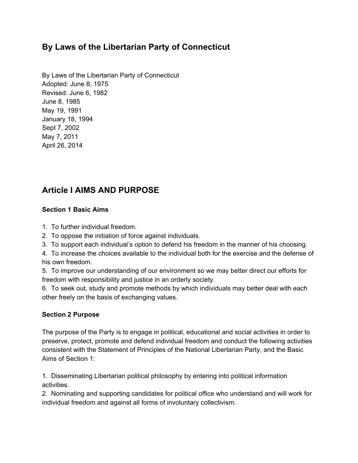# **By Laws of the Libertarian Party of Connecticut**

By Laws of the Libertarian Party of Connecticut Adopted: June 8, 1975 Revised: June 6, 1982 June 8, 1985 May 19, 1991 January 18, 1994 Sept 7, 2002 May 7, 2011 April 26, 2014

# **Article I AIMS AND PURPOSE**

# **Section 1 Basic Aims**

- 1. To further individual freedom.
- 2. To oppose the initiation of force against individuals.
- 3. To support each individual's option to defend his freedom in the manner of his choosing.

4. To increase the choices available to the individual both for the exercise and the defense of his own freedom.

5. To improve our understanding of our environment so we may better direct our efforts for freedom with responsibility and justice in an orderly society.

6. To seek out, study and promote methods by which individuals may better deal with each other freely on the basis of exchanging values.

# **Section 2 Purpose**

The purpose of the Party is to engage in political, educational and social activities in order to preserve, protect, promote and defend individual freedom and conduct the following activities consistent with the Statement of Principles of the National Libertarian Party, and the Basic Aims of Section 1:

1. Disseminating Libertarian political philosophy by entering into political information activities.

2. Nominating and supporting candidates for political office who understand and will work for individual freedom and against all forms of involuntary collectivism.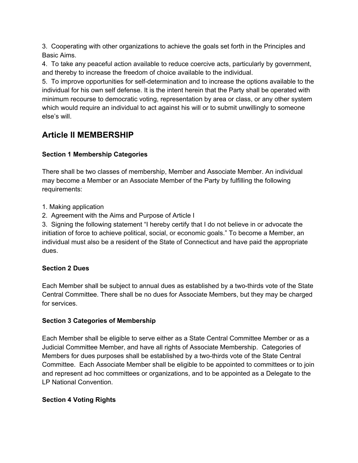3. Cooperating with other organizations to achieve the goals set forth in the Principles and Basic Aims.

4. To take any peaceful action available to reduce coercive acts, particularly by government, and thereby to increase the freedom of choice available to the individual.

5. To improve opportunities for self-determination and to increase the options available to the individual for his own self defense. It is the intent herein that the Party shall be operated with minimum recourse to democratic voting, representation by area or class, or any other system which would require an individual to act against his will or to submit unwillingly to someone else's will.

# **Article II MEMBERSHIP**

# **Section 1 Membership Categories**

There shall be two classes of membership, Member and Associate Member. An individual may become a Member or an Associate Member of the Party by fulfilling the following requirements:

- 1. Making application
- 2. Agreement with the Aims and Purpose of Article I

3. Signing the following statement "I hereby certify that I do not believe in or advocate the initiation of force to achieve political, social, or economic goals." To become a Member, an individual must also be a resident of the State of Connecticut and have paid the appropriate dues.

# **Section 2 Dues**

Each Member shall be subject to annual dues as established by a two-thirds vote of the State Central Committee. There shall be no dues for Associate Members, but they may be charged for services.

# **Section 3 Categories of Membership**

Each Member shall be eligible to serve either as a State Central Committee Member or as a Judicial Committee Member, and have all rights of Associate Membership. Categories of Members for dues purposes shall be established by a two-thirds vote of the State Central Committee. Each Associate Member shall be eligible to be appointed to committees or to join and represent ad hoc committees or organizations, and to be appointed as a Delegate to the LP National Convention.

# **Section 4 Voting Rights**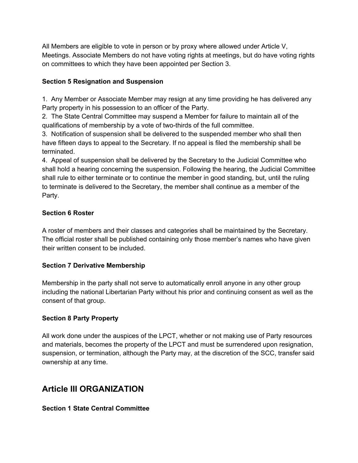All Members are eligible to vote in person or by proxy where allowed under Article V, Meetings. Associate Members do not have voting rights at meetings, but do have voting rights on committees to which they have been appointed per Section 3.

# **Section 5 Resignation and Suspension**

1. Any Member or Associate Member may resign at any time providing he has delivered any Party property in his possession to an officer of the Party.

2. The State Central Committee may suspend a Member for failure to maintain all of the qualifications of membership by a vote of two-thirds of the full committee.

3. Notification of suspension shall be delivered to the suspended member who shall then have fifteen days to appeal to the Secretary. If no appeal is filed the membership shall be terminated.

4. Appeal of suspension shall be delivered by the Secretary to the Judicial Committee who shall hold a hearing concerning the suspension. Following the hearing, the Judicial Committee shall rule to either terminate or to continue the member in good standing, but, until the ruling to terminate is delivered to the Secretary, the member shall continue as a member of the Party.

# **Section 6 Roster**

A roster of members and their classes and categories shall be maintained by the Secretary. The official roster shall be published containing only those member's names who have given their written consent to be included.

# **Section 7 Derivative Membership**

Membership in the party shall not serve to automatically enroll anyone in any other group including the national Libertarian Party without his prior and continuing consent as well as the consent of that group.

# **Section 8 Party Property**

All work done under the auspices of the LPCT, whether or not making use of Party resources and materials, becomes the property of the LPCT and must be surrendered upon resignation, suspension, or termination, although the Party may, at the discretion of the SCC, transfer said ownership at any time.

# **Article III ORGANIZATION**

# **Section 1 State Central Committee**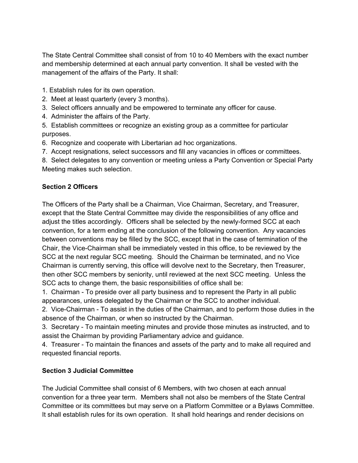The State Central Committee shall consist of from 10 to 40 Members with the exact number and membership determined at each annual party convention. It shall be vested with the management of the affairs of the Party. It shall:

1. Establish rules for its own operation.

- 2. Meet at least quarterly (every 3 months).
- 3. Select officers annually and be empowered to terminate any officer for cause.
- 4. Administer the affairs of the Party.
- 5. Establish committees or recognize an existing group as a committee for particular purposes.
- 6. Recognize and cooperate with Libertarian ad hoc organizations.
- 7. Accept resignations, select successors and fill any vacancies in offices or committees.
- 8. Select delegates to any convention or meeting unless a Party Convention or Special Party Meeting makes such selection.

# **Section 2 Officers**

The Officers of the Party shall be a Chairman, Vice Chairman, Secretary, and Treasurer, except that the State Central Committee may divide the responsibilities of any office and adjust the titles accordingly. Officers shall be selected by the newly-formed SCC at each convention, for a term ending at the conclusion of the following convention. Any vacancies between conventions may be filled by the SCC, except that in the case of termination of the Chair, the Vice-Chairman shall be immediately vested in this office, to be reviewed by the SCC at the next regular SCC meeting. Should the Chairman be terminated, and no Vice Chairman is currently serving, this office will devolve next to the Secretary, then Treasurer, then other SCC members by seniority, until reviewed at the next SCC meeting. Unless the SCC acts to change them, the basic responsibilities of office shall be:

1. Chairman To preside over all party business and to represent the Party in all public appearances, unless delegated by the Chairman or the SCC to another individual.

2. Vice-Chairman - To assist in the duties of the Chairman, and to perform those duties in the absence of the Chairman, or when so instructed by the Chairman.

3. Secretary - To maintain meeting minutes and provide those minutes as instructed, and to assist the Chairman by providing Parliamentary advice and guidance.

4. Treasurer - To maintain the finances and assets of the party and to make all required and requested financial reports.

# **Section 3 Judicial Committee**

The Judicial Committee shall consist of 6 Members, with two chosen at each annual convention for a three year term. Members shall not also be members of the State Central Committee or its committees but may serve on a Platform Committee or a Bylaws Committee. It shall establish rules for its own operation. It shall hold hearings and render decisions on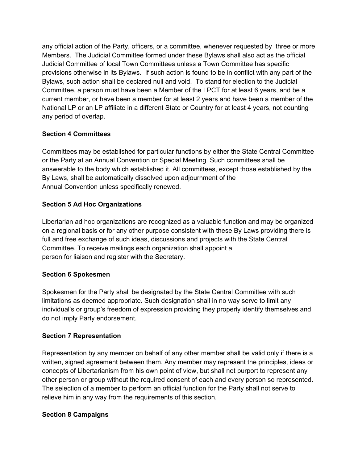any official action of the Party, officers, or a committee, whenever requested by three or more Members. The Judicial Committee formed under these Bylaws shall also act as the official Judicial Committee of local Town Committees unless a Town Committee has specific provisions otherwise in its Bylaws. If such action is found to be in conflict with any part of the Bylaws, such action shall be declared null and void. To stand for election to the Judicial Committee, a person must have been a Member of the LPCT for at least 6 years, and be a current member, or have been a member for at least 2 years and have been a member of the National LP or an LP affiliate in a different State or Country for at least 4 years, not counting any period of overlap.

# **Section 4 Committees**

Committees may be established for particular functions by either the State Central Committee or the Party at an Annual Convention or Special Meeting. Such committees shall be answerable to the body which established it. All committees, except those established by the By Laws, shall be automatically dissolved upon adjournment of the Annual Convention unless specifically renewed.

# **Section 5 Ad Hoc Organizations**

Libertarian ad hoc organizations are recognized as a valuable function and may be organized on a regional basis or for any other purpose consistent with these By Laws providing there is full and free exchange of such ideas, discussions and projects with the State Central Committee. To receive mailings each organization shall appoint a person for liaison and register with the Secretary.

# **Section 6 Spokesmen**

Spokesmen for the Party shall be designated by the State Central Committee with such limitations as deemed appropriate. Such designation shall in no way serve to limit any individual's or group's freedom of expression providing they properly identify themselves and do not imply Party endorsement.

# **Section 7 Representation**

Representation by any member on behalf of any other member shall be valid only if there is a written, signed agreement between them. Any member may represent the principles, ideas or concepts of Libertarianism from his own point of view, but shall not purport to represent any other person or group without the required consent of each and every person so represented. The selection of a member to perform an official function for the Party shall not serve to relieve him in any way from the requirements of this section.

# **Section 8 Campaigns**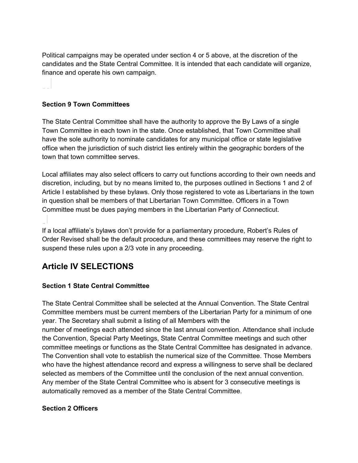Political campaigns may be operated under section 4 or 5 above, at the discretion of the candidates and the State Central Committee. It is intended that each candidate will organize, finance and operate his own campaign.

#### **Section 9 Town Committees**

The State Central Committee shall have the authority to approve the By Laws of a single Town Committee in each town in the state. Once established, that Town Committee shall have the sole authority to nominate candidates for any municipal office or state legislative office when the jurisdiction of such district lies entirely within the geographic borders of the town that town committee serves.

Local affiliates may also select officers to carry out functions according to their own needs and discretion, including, but by no means limited to, the purposes outlined in Sections 1 and 2 of Article I established by these bylaws. Only those registered to vote as Libertarians in the town in question shall be members of that Libertarian Town Committee. Officers in a Town Committee must be dues paying members in the Libertarian Party of Connecticut.

If a local affiliate's bylaws don't provide for a parliamentary procedure, Robert's Rules of Order Revised shall be the default procedure, and these committees may reserve the right to suspend these rules upon a 2/3 vote in any proceeding.

# **Article IV SELECTIONS**

# **Section 1 State Central Committee**

The State Central Committee shall be selected at the Annual Convention. The State Central Committee members must be current members of the Libertarian Party for a minimum of one year. The Secretary shall submit a listing of all Members with the number of meetings each attended since the last annual convention. Attendance shall include the Convention, Special Party Meetings, State Central Committee meetings and such other committee meetings or functions as the State Central Committee has designated in advance. The Convention shall vote to establish the numerical size of the Committee. Those Members who have the highest attendance record and express a willingness to serve shall be declared selected as members of the Committee until the conclusion of the next annual convention. Any member of the State Central Committee who is absent for 3 consecutive meetings is automatically removed as a member of the State Central Committee.

# **Section 2 Officers**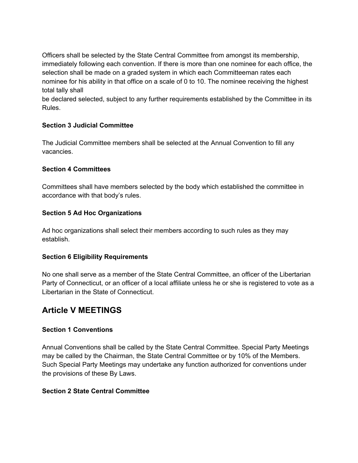Officers shall be selected by the State Central Committee from amongst its membership, immediately following each convention. If there is more than one nominee for each office, the selection shall be made on a graded system in which each Committeeman rates each nominee for his ability in that office on a scale of 0 to 10. The nominee receiving the highest total tally shall

be declared selected, subject to any further requirements established by the Committee in its Rules.

# **Section 3 Judicial Committee**

The Judicial Committee members shall be selected at the Annual Convention to fill any vacancies.

# **Section 4 Committees**

Committees shall have members selected by the body which established the committee in accordance with that body's rules.

# **Section 5 Ad Hoc Organizations**

Ad hoc organizations shall select their members according to such rules as they may establish.

# **Section 6 Eligibility Requirements**

No one shall serve as a member of the State Central Committee, an officer of the Libertarian Party of Connecticut, or an officer of a local affiliate unless he or she is registered to vote as a Libertarian in the State of Connecticut.

# **Article V MEETINGS**

# **Section 1 Conventions**

Annual Conventions shall be called by the State Central Committee. Special Party Meetings may be called by the Chairman, the State Central Committee or by 10% of the Members. Such Special Party Meetings may undertake any function authorized for conventions under the provisions of these By Laws.

# **Section 2 State Central Committee**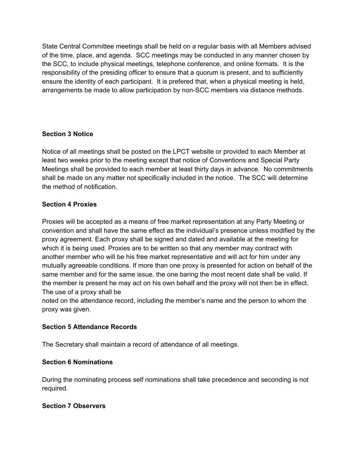State Central Committee meetings shall be held on a regular basis with all Members advised of the time, place, and agenda. SCC meetings may be conducted in any manner chosen by the SCC, to include physical meetings, telephone conference, and online formats. It is the responsibility of the presiding officer to ensure that a quorum is present, and to sufficiently ensure the identity of each participant. It is prefered that, when a physical meeting is held, arrangements be made to allow participation by non-SCC members via distance methods.

# **Section 3 Notice**

Notice of all meetings shall be posted on the LPCT website or provided to each Member at least two weeks prior to the meeting except that notice of Conventions and Special Party Meetings shall be provided to each member at least thirty days in advance. No commitments shall be made on any matter not specifically included in the notice. The SCC will determine the method of notification.

# **Section 4 Proxies**

Proxies will be accepted as a means of free market representation at any Party Meeting or convention and shall have the same effect as the individual's presence unless modified by the proxy agreement. Each proxy shall be signed and dated and available at the meeting for which it is being used. Proxies are to be written so that any member may contract with another member who will be his free market representative and will act for him under any mutually agreeable conditions. If more than one proxy is presented for action on behalf of the same member and for the same issue, the one baring the most recent date shall be valid. If the member is present he may act on his own behalf and the proxy will not then be in effect. The use of a proxy shall be

noted on the attendance record, including the member's name and the person to whom the proxy was given.

# **Section 5 Attendance Records**

The Secretary shall maintain a record of attendance of all meetings.

# **Section 6 Nominations**

During the nominating process self nominations shall take precedence and seconding is not required.

# **Section 7 Observers**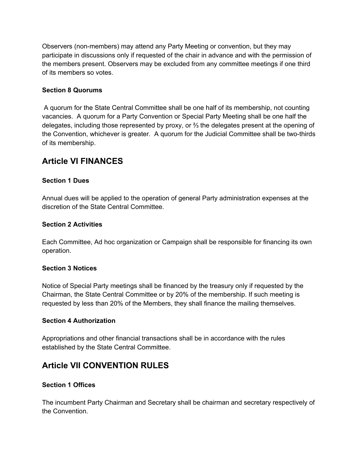Observers (non-members) may attend any Party Meeting or convention, but they may participate in discussions only if requested of the chair in advance and with the permission of the members present. Observers may be excluded from any committee meetings if one third of its members so votes.

#### **Section 8 Quorums**

A quorum for the State Central Committee shall be one half of its membership, not counting vacancies. A quorum for a Party Convention or Special Party Meeting shall be one half the delegates, including those represented by proxy, or ⅔ the delegates present at the opening of the Convention, whichever is greater. A quorum for the Judicial Committee shall be two-thirds of its membership.

# **Article VI FINANCES**

#### **Section 1 Dues**

Annual dues will be applied to the operation of general Party administration expenses at the discretion of the State Central Committee.

#### **Section 2 Activities**

Each Committee, Ad hoc organization or Campaign shall be responsible for financing its own operation.

#### **Section 3 Notices**

Notice of Special Party meetings shall be financed by the treasury only if requested by the Chairman, the State Central Committee or by 20% of the membership. If such meeting is requested by less than 20% of the Members, they shall finance the mailing themselves.

#### **Section 4 Authorization**

Appropriations and other financial transactions shall be in accordance with the rules established by the State Central Committee.

# **Article VII CONVENTION RULES**

# **Section 1 Offices**

The incumbent Party Chairman and Secretary shall be chairman and secretary respectively of the Convention.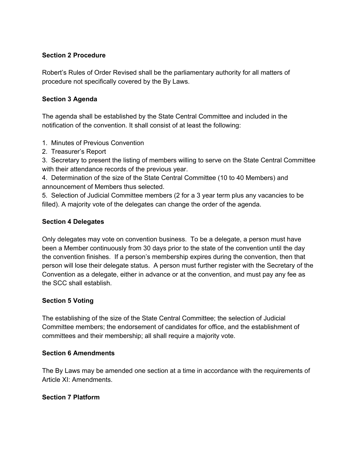# **Section 2 Procedure**

Robert's Rules of Order Revised shall be the parliamentary authority for all matters of procedure not specifically covered by the By Laws.

#### **Section 3 Agenda**

The agenda shall be established by the State Central Committee and included in the notification of the convention. It shall consist of at least the following:

# 1. Minutes of Previous Convention

2. Treasurer's Report

3. Secretary to present the listing of members willing to serve on the State Central Committee with their attendance records of the previous year.

4. Determination of the size of the State Central Committee (10 to 40 Members) and announcement of Members thus selected.

5. Selection of Judicial Committee members (2 for a 3 year term plus any vacancies to be filled). A majority vote of the delegates can change the order of the agenda.

#### **Section 4 Delegates**

Only delegates may vote on convention business. To be a delegate, a person must have been a Member continuously from 30 days prior to the state of the convention until the day the convention finishes. If a person's membership expires during the convention, then that person will lose their delegate status. A person must further register with the Secretary of the Convention as a delegate, either in advance or at the convention, and must pay any fee as the SCC shall establish.

# **Section 5 Voting**

The establishing of the size of the State Central Committee; the selection of Judicial Committee members; the endorsement of candidates for office, and the establishment of committees and their membership; all shall require a majority vote.

# **Section 6 Amendments**

The By Laws may be amended one section at a time in accordance with the requirements of Article XI: Amendments.

#### **Section 7 Platform**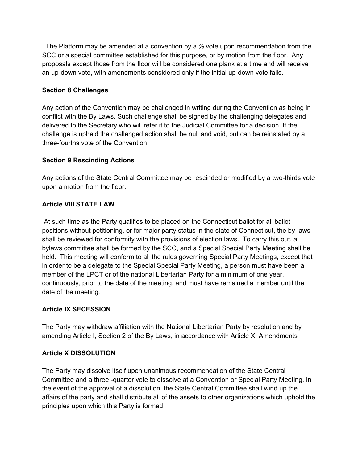The Platform may be amended at a convention by a ⅔ vote upon recommendation from the SCC or a special committee established for this purpose, or by motion from the floor. Any proposals except those from the floor will be considered one plank at a time and will receive an up-down vote, with amendments considered only if the initial up-down vote fails.

# **Section 8 Challenges**

Any action of the Convention may be challenged in writing during the Convention as being in conflict with the By Laws. Such challenge shall be signed by the challenging delegates and delivered to the Secretary who will refer it to the Judicial Committee for a decision. If the challenge is upheld the challenged action shall be null and void, but can be reinstated by a three-fourths vote of the Convention.

# **Section 9 Rescinding Actions**

Any actions of the State Central Committee may be rescinded or modified by a two-thirds vote upon a motion from the floor.

# **Article VIII STATE LAW**

At such time as the Party qualifies to be placed on the Connecticut ballot for all ballot positions without petitioning, or for major party status in the state of Connecticut, the by-laws shall be reviewed for conformity with the provisions of election laws. To carry this out, a bylaws committee shall be formed by the SCC, and a Special Special Party Meeting shall be held. This meeting will conform to all the rules governing Special Party Meetings, except that in order to be a delegate to the Special Special Party Meeting, a person must have been a member of the LPCT or of the national Libertarian Party for a minimum of one year, continuously, prior to the date of the meeting, and must have remained a member until the date of the meeting.

# **Article IX SECESSION**

The Party may withdraw affiliation with the National Libertarian Party by resolution and by amending Article I, Section 2 of the By Laws, in accordance with Article XI Amendments

# **Article X DISSOLUTION**

The Party may dissolve itself upon unanimous recommendation of the State Central Committee and a three -quarter vote to dissolve at a Convention or Special Party Meeting. In the event of the approval of a dissolution, the State Central Committee shall wind up the affairs of the party and shall distribute all of the assets to other organizations which uphold the principles upon which this Party is formed.